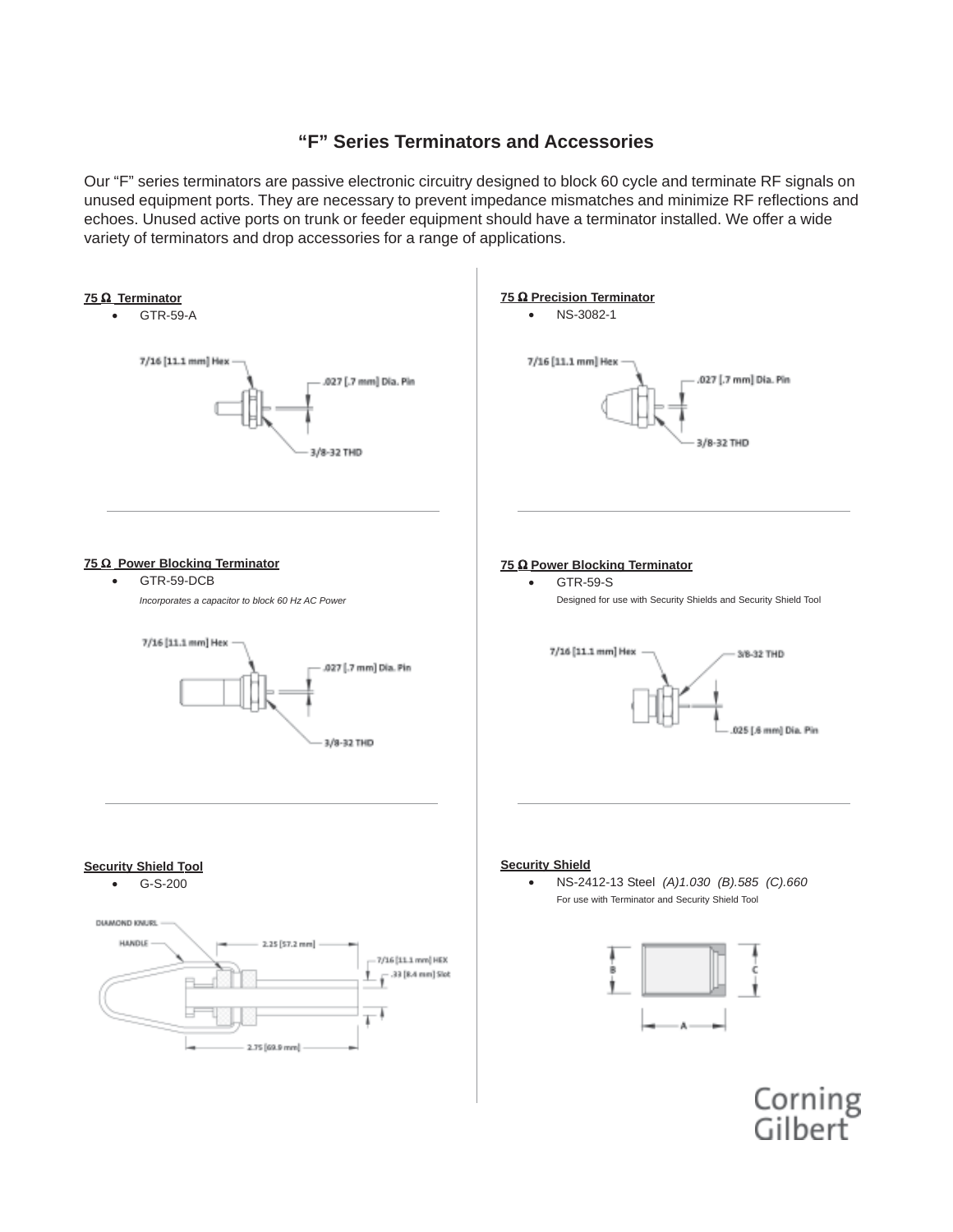## **"F" Series Terminators and Accessories**

Our "F" series terminators are passive electronic circuitry designed to block 60 cycle and terminate RF signals on unused equipment ports. They are necessary to prevent impedance mismatches and minimize RF reflections and echoes. Unused active ports on trunk or feeder equipment should have a terminator installed. We offer a wide variety of terminators and drop accessories for a range of applications.